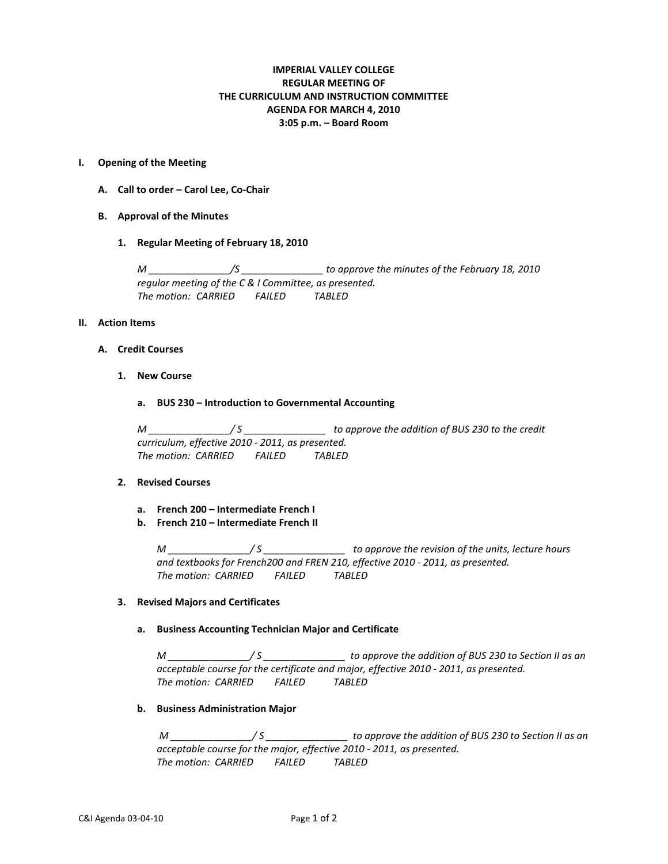# **IMPERIAL VALLEY COLLEGE REGULAR MEETING OF THE CURRICULUM AND INSTRUCTION COMMITTEE AGENDA FOR MARCH 4, 2010 3:05 p.m. – Board Room**

### **I. Opening of the Meeting**

- **A. Call to order – Carol Lee, Co-Chair**
- **B. Approval of the Minutes**
	- **1. Regular Meeting of February 18, 2010**

*M \_\_\_\_\_\_\_\_\_\_\_\_\_\_\_/S \_\_\_\_\_\_\_\_\_\_\_\_\_\_\_ to approve the minutes of the February 18, 2010 regular meeting of the C & I Committee, as presented. The motion: CARRIED FAILED TABLED*

#### **II. Action Items**

### **A. Credit Courses**

- **1. New Course**
	- **a. BUS 230 – Introduction to Governmental Accounting**

*M \_\_\_\_\_\_\_\_\_\_\_\_\_\_\_/ S \_\_\_\_\_\_\_\_\_\_\_\_\_\_\_ to approve the addition of BUS 230 to the credit curriculum, effective 2010 - 2011, as presented. The motion: CARRIED FAILED TABLED*

#### **2. Revised Courses**

- **a. French 200 – Intermediate French I**
- **b. French 210 – Intermediate French II**

*M \_\_\_\_\_\_\_\_\_\_\_\_\_\_\_/ S \_\_\_\_\_\_\_\_\_\_\_\_\_\_\_ to approve the revision of the units, lecture hours and textbooks for French200 and FREN 210, effective 2010 - 2011, as presented. The motion: CARRIED FAILED TABLED*

#### **3. Revised Majors and Certificates**

### **a. Business Accounting Technician Major and Certificate**

*M \_\_\_\_\_\_\_\_\_\_\_\_\_\_\_/ S \_\_\_\_\_\_\_\_\_\_\_\_\_\_\_ to approve the addition of BUS 230 to Section II as an acceptable course for the certificate and major, effective 2010 - 2011, as presented. The motion: CARRIED FAILED TABLED*

## **b. Business Administration Major**

*M \_\_\_\_\_\_\_\_\_\_\_\_\_\_\_/ S \_\_\_\_\_\_\_\_\_\_\_\_\_\_\_ to approve the addition of BUS 230 to Section II as an acceptable course for the major, effective 2010 - 2011, as presented. The motion: CARRIED FAILED TABLED*